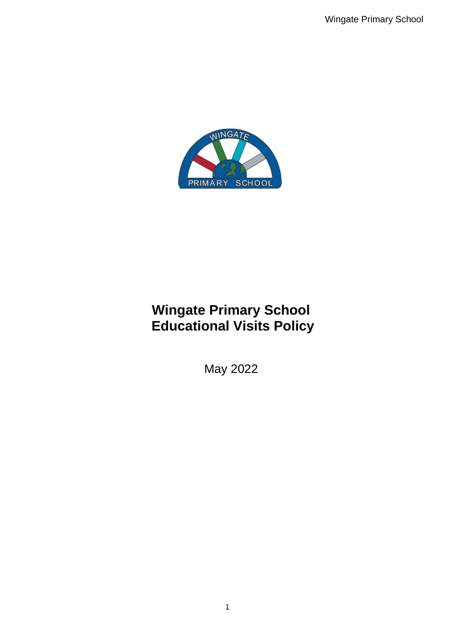

# **Wingate Primary School Educational Visits Policy**

May 2022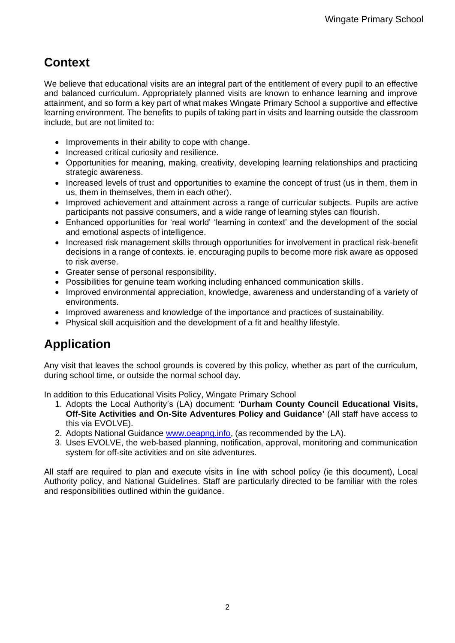### **Context**

We believe that educational visits are an integral part of the entitlement of every pupil to an effective and balanced curriculum. Appropriately planned visits are known to enhance learning and improve attainment, and so form a key part of what makes Wingate Primary School a supportive and effective learning environment. The benefits to pupils of taking part in visits and learning outside the classroom include, but are not limited to:

- Improvements in their ability to cope with change.
- Increased critical curiosity and resilience.
- Opportunities for meaning, making, creativity, developing learning relationships and practicing strategic awareness.
- Increased levels of trust and opportunities to examine the concept of trust (us in them, them in us, them in themselves, them in each other).
- Improved achievement and attainment across a range of curricular subjects. Pupils are active participants not passive consumers, and a wide range of learning styles can flourish.
- Enhanced opportunities for 'real world' 'learning in context' and the development of the social and emotional aspects of intelligence.
- Increased risk management skills through opportunities for involvement in practical risk-benefit decisions in a range of contexts. ie. encouraging pupils to become more risk aware as opposed to risk averse.
- Greater sense of personal responsibility.
- Possibilities for genuine team working including enhanced communication skills.
- Improved environmental appreciation, knowledge, awareness and understanding of a variety of environments.
- Improved awareness and knowledge of the importance and practices of sustainability.
- Physical skill acquisition and the development of a fit and healthy lifestyle.

## **Application**

Any visit that leaves the school grounds is covered by this policy, whether as part of the curriculum, during school time, or outside the normal school day.

In addition to this Educational Visits Policy, Wingate Primary School

- 1. Adopts the Local Authority's (LA) document: **'Durham County Council Educational Visits, Off-Site Activities and On-Site Adventures Policy and Guidance'** (All staff have access to this via EVOLVE).
- 2. Adopts National Guidance [www.oeapng.info,](http://www.oeapng.info/) (as recommended by the LA).
- 3. Uses EVOLVE, the web-based planning, notification, approval, monitoring and communication system for off-site activities and on site adventures.

All staff are required to plan and execute visits in line with school policy (ie this document), Local Authority policy, and National Guidelines. Staff are particularly directed to be familiar with the roles and responsibilities outlined within the guidance.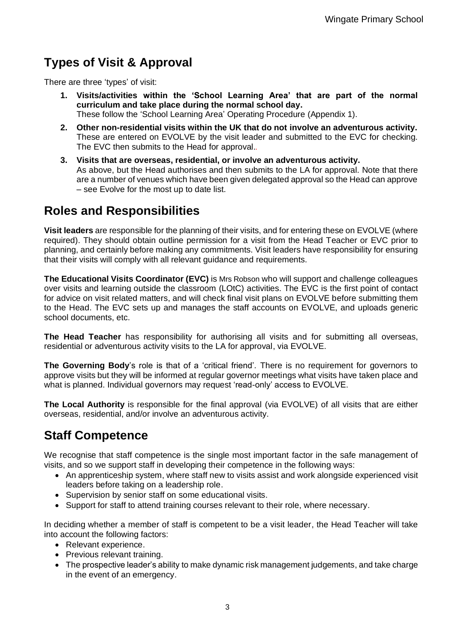## **Types of Visit & Approval**

There are three 'types' of visit:

- **1. Visits/activities within the 'School Learning Area' that are part of the normal curriculum and take place during the normal school day.** These follow the 'School Learning Area' Operating Procedure (Appendix 1).
- **2. Other non-residential visits within the UK that do not involve an adventurous activity.** These are entered on EVOLVE by the visit leader and submitted to the EVC for checking. The EVC then submits to the Head for approval.*.*
- **3. Visits that are overseas, residential, or involve an adventurous activity.** As above, but the Head authorises and then submits to the LA for approval. Note that there are a number of venues which have been given delegated approval so the Head can approve – see Evolve for the most up to date list.

### **Roles and Responsibilities**

**Visit leaders** are responsible for the planning of their visits, and for entering these on EVOLVE (where required). They should obtain outline permission for a visit from the Head Teacher or EVC prior to planning, and certainly before making any commitments. Visit leaders have responsibility for ensuring that their visits will comply with all relevant quidance and requirements.

**The Educational Visits Coordinator (EVC)** is Mrs Robson who will support and challenge colleagues over visits and learning outside the classroom (LOtC) activities. The EVC is the first point of contact for advice on visit related matters, and will check final visit plans on EVOLVE before submitting them to the Head. The EVC sets up and manages the staff accounts on EVOLVE, and uploads generic school documents, etc.

**The Head Teacher** has responsibility for authorising all visits and for submitting all overseas, residential or adventurous activity visits to the LA for approval, via EVOLVE.

**The Governing Body**'s role is that of a 'critical friend'*.* There is no requirement for governors to approve visits but they will be informed at regular governor meetings what visits have taken place and what is planned. Individual governors may request 'read-only' access to EVOLVE.

**The Local Authority** is responsible for the final approval (via EVOLVE) of all visits that are either overseas, residential, and/or involve an adventurous activity.

### **Staff Competence**

We recognise that staff competence is the single most important factor in the safe management of visits, and so we support staff in developing their competence in the following ways:

- An apprenticeship system, where staff new to visits assist and work alongside experienced visit leaders before taking on a leadership role.
- Supervision by senior staff on some educational visits.
- Support for staff to attend training courses relevant to their role, where necessary.

In deciding whether a member of staff is competent to be a visit leader, the Head Teacher will take into account the following factors:

- Relevant experience.
- Previous relevant training.
- The prospective leader's ability to make dynamic risk management judgements, and take charge in the event of an emergency.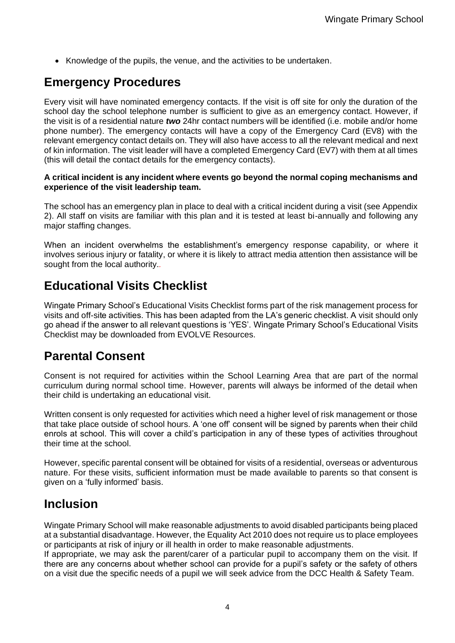• Knowledge of the pupils, the venue, and the activities to be undertaken.

### **Emergency Procedures**

Every visit will have nominated emergency contacts. If the visit is off site for only the duration of the school day the school telephone number is sufficient to give as an emergency contact. However, if the visit is of a residential nature *two* 24hr contact numbers will be identified (i.e. mobile and/or home phone number). The emergency contacts will have a copy of the Emergency Card (EV8) with the relevant emergency contact details on. They will also have access to all the relevant medical and next of kin information. The visit leader will have a completed Emergency Card (EV7) with them at all times (this will detail the contact details for the emergency contacts).

#### **A critical incident is any incident where events go beyond the normal coping mechanisms and experience of the visit leadership team.**

The school has an emergency plan in place to deal with a critical incident during a visit (see Appendix 2). All staff on visits are familiar with this plan and it is tested at least bi-annually and following any major staffing changes.

When an incident overwhelms the establishment's emergency response capability, or where it involves serious injury or fatality, or where it is likely to attract media attention then assistance will be sought from the local authority.*.*

### **Educational Visits Checklist**

Wingate Primary School's Educational Visits Checklist forms part of the risk management process for visits and off-site activities. This has been adapted from the LA's generic checklist. A visit should only go ahead if the answer to all relevant questions is 'YES'. Wingate Primary School's Educational Visits Checklist may be downloaded from EVOLVE Resources.

#### **Parental Consent**

Consent is not required for activities within the School Learning Area that are part of the normal curriculum during normal school time. However, parents will always be informed of the detail when their child is undertaking an educational visit.

Written consent is only requested for activities which need a higher level of risk management or those that take place outside of school hours. A 'one off' consent will be signed by parents when their child enrols at school. This will cover a child's participation in any of these types of activities throughout their time at the school.

However, specific parental consent will be obtained for visits of a residential, overseas or adventurous nature. For these visits, sufficient information must be made available to parents so that consent is given on a 'fully informed' basis.

#### **Inclusion**

Wingate Primary School will make reasonable adjustments to avoid disabled participants being placed at a substantial disadvantage. However, the Equality Act 2010 does not require us to place employees or participants at risk of injury or ill health in order to make reasonable adjustments.

If appropriate, we may ask the parent/carer of a particular pupil to accompany them on the visit. If there are any concerns about whether school can provide for a pupil's safety or the safety of others on a visit due the specific needs of a pupil we will seek advice from the DCC Health & Safety Team.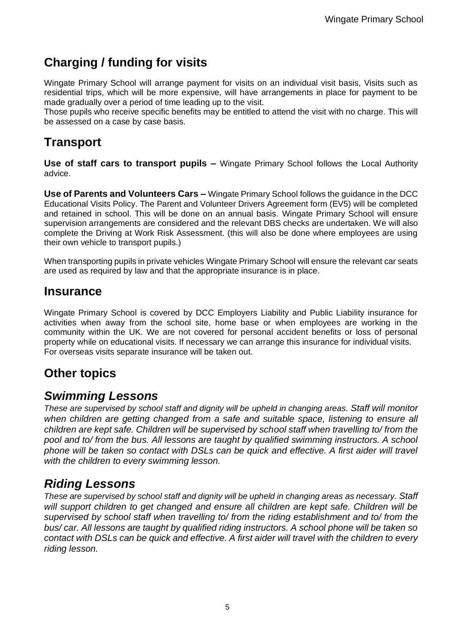### **Charging / funding for visits**

Wingate Primary School will arrange payment for visits on an individual visit basis, Visits such as residential trips, which will be more expensive, will have arrangements in place for payment to be made gradually over a period of time leading up to the visit.

Those pupils who receive specific benefits may be entitled to attend the visit with no charge. This will be assessed on a case by case basis.

### **Transport**

**Use of staff cars to transport pupils –** Wingate Primary School follows the Local Authority advice.

**Use of Parents and Volunteers Cars –** Wingate Primary School follows the guidance in the DCC Educational Visits Policy. The Parent and Volunteer Drivers Agreement form (EV5) will be completed and retained in school. This will be done on an annual basis. Wingate Primary School will ensure supervision arrangements are considered and the relevant DBS checks are undertaken. We will also complete the Driving at Work Risk Assessment. (this will also be done where employees are using their own vehicle to transport pupils.)

When transporting pupils in private vehicles Wingate Primary School will ensure the relevant car seats are used as required by law and that the appropriate insurance is in place.

#### **Insurance**

Wingate Primary School is covered by DCC Employers Liability and Public Liability insurance for activities when away from the school site, home base or when employees are working in the community within the UK. We are not covered for personal accident benefits or loss of personal property while on educational visits. If necessary we can arrange this insurance for individual visits. For overseas visits separate insurance will be taken out.

### **Other topics**

#### *Swimming Lessons*

*These are supervised by school staff and dignity will be upheld in changing areas. Staff will monitor when children are getting changed from a safe and suitable space, listening to ensure all children are kept safe. Children will be supervised by school staff when travelling to/ from the pool and to/ from the bus. All lessons are taught by qualified swimming instructors. A school phone will be taken so contact with DSLs can be quick and effective. A first aider will travel with the children to every swimming lesson.* 

### *Riding Lessons*

*These are supervised by school staff and dignity will be upheld in changing areas as necessary. Staff will support children to get changed and ensure all children are kept safe. Children will be supervised by school staff when travelling to/ from the riding establishment and to/ from the bus/ car. All lessons are taught by qualified riding instructors. A school phone will be taken so contact with DSLs can be quick and effective. A first aider will travel with the children to every riding lesson.*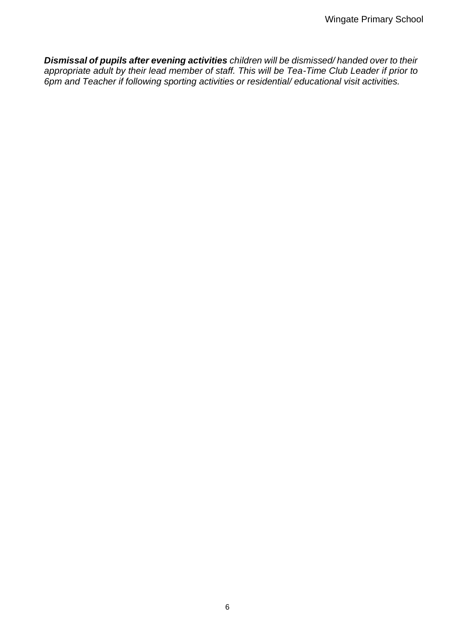*Dismissal of pupils after evening activities children will be dismissed/ handed over to their*  appropriate adult by their lead member of staff. This will be Tea-Time Club Leader if prior to *6pm and Teacher if following sporting activities or residential/ educational visit activities.*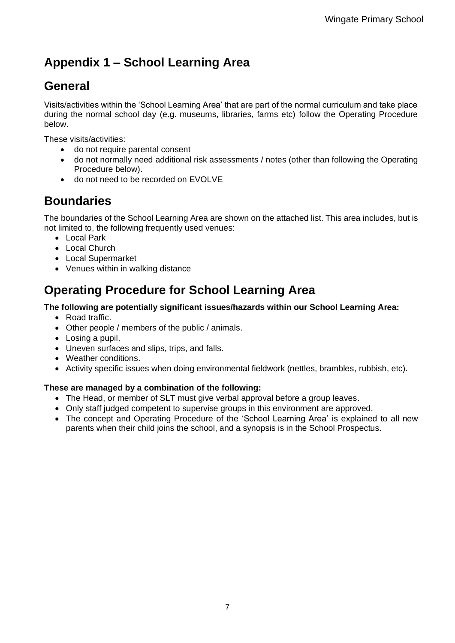## **Appendix 1 – School Learning Area**

## **General**

Visits/activities within the 'School Learning Area' that are part of the normal curriculum and take place during the normal school day (e.g. museums, libraries, farms etc) follow the Operating Procedure below.

These visits/activities:

- do not require parental consent
- do not normally need additional risk assessments / notes (other than following the Operating Procedure below).
- do not need to be recorded on EVOLVE

### **Boundaries**

The boundaries of the School Learning Area are shown on the attached list. This area includes, but is not limited to, the following frequently used venues:

- Local Park
- Local Church
- Local Supermarket
- Venues within in walking distance

### **Operating Procedure for School Learning Area**

#### **The following are potentially significant issues/hazards within our School Learning Area:**

- Road traffic.
- Other people / members of the public / animals.
- Losing a pupil.
- Uneven surfaces and slips, trips, and falls.
- Weather conditions.
- Activity specific issues when doing environmental fieldwork (nettles, brambles, rubbish, etc).

#### **These are managed by a combination of the following:**

- The Head, or member of SLT must give verbal approval before a group leaves.
- Only staff judged competent to supervise groups in this environment are approved.
- The concept and Operating Procedure of the 'School Learning Area' is explained to all new parents when their child joins the school, and a synopsis is in the School Prospectus.